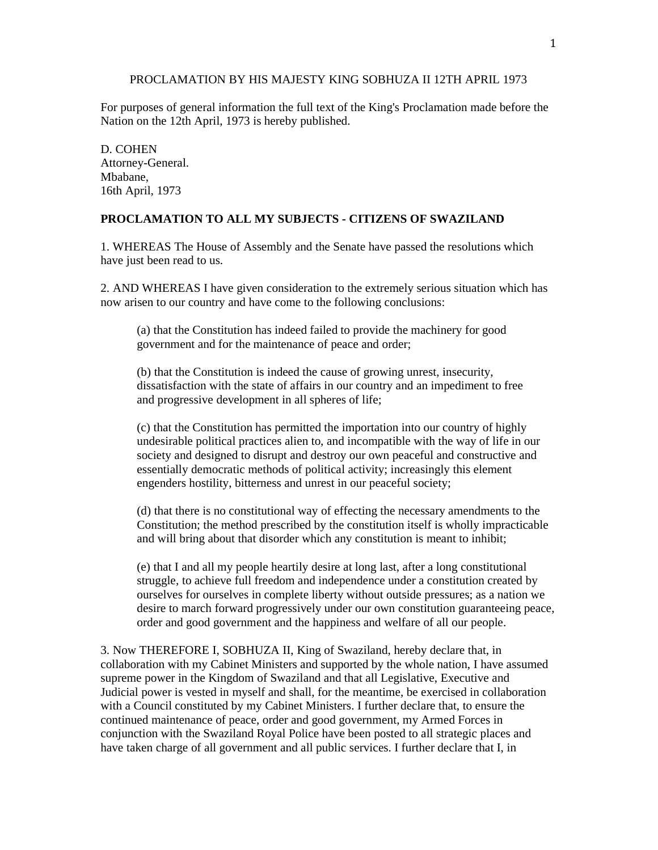## PROCLAMATION BY HIS MAJESTY KING SOBHUZA II 12TH APRIL 1973

For purposes of general information the full text of the King's Proclamation made before the Nation on the 12th April, 1973 is hereby published.

D. COHEN Attorney-General. Mbabane, 16th April, 1973

## **PROCLAMATION TO ALL MY SUBJECTS - CITIZENS OF SWAZILAND**

1. WHEREAS The House of Assembly and the Senate have passed the resolutions which have just been read to us.

2. AND WHEREAS I have given consideration to the extremely serious situation which has now arisen to our country and have come to the following conclusions:

(a) that the Constitution has indeed failed to provide the machinery for good government and for the maintenance of peace and order;

(b) that the Constitution is indeed the cause of growing unrest, insecurity, dissatisfaction with the state of affairs in our country and an impediment to free and progressive development in all spheres of life;

(c) that the Constitution has permitted the importation into our country of highly undesirable political practices alien to, and incompatible with the way of life in our society and designed to disrupt and destroy our own peaceful and constructive and essentially democratic methods of political activity; increasingly this element engenders hostility, bitterness and unrest in our peaceful society;

(d) that there is no constitutional way of effecting the necessary amendments to the Constitution; the method prescribed by the constitution itself is wholly impracticable and will bring about that disorder which any constitution is meant to inhibit;

(e) that I and all my people heartily desire at long last, after a long constitutional struggle, to achieve full freedom and independence under a constitution created by ourselves for ourselves in complete liberty without outside pressures; as a nation we desire to march forward progressively under our own constitution guaranteeing peace, order and good government and the happiness and welfare of all our people.

3. Now THEREFORE I, SOBHUZA II, King of Swaziland, hereby declare that, in collaboration with my Cabinet Ministers and supported by the whole nation, I have assumed supreme power in the Kingdom of Swaziland and that all Legislative, Executive and Judicial power is vested in myself and shall, for the meantime, be exercised in collaboration with a Council constituted by my Cabinet Ministers. I further declare that, to ensure the continued maintenance of peace, order and good government, my Armed Forces in conjunction with the Swaziland Royal Police have been posted to all strategic places and have taken charge of all government and all public services. I further declare that I, in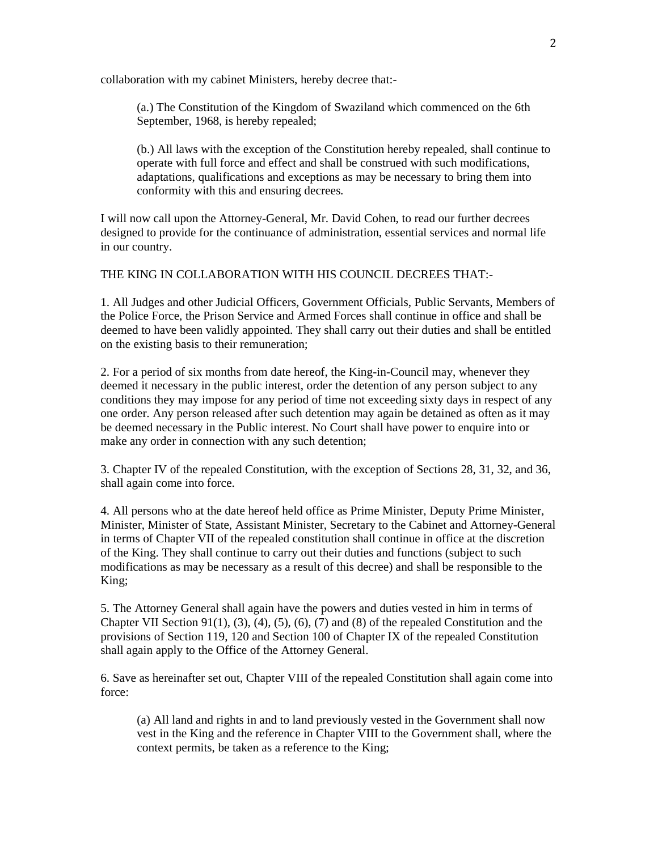collaboration with my cabinet Ministers, hereby decree that:-

(a.) The Constitution of the Kingdom of Swaziland which commenced on the 6th September, 1968, is hereby repealed;

(b.) All laws with the exception of the Constitution hereby repealed, shall continue to operate with full force and effect and shall be construed with such modifications, adaptations, qualifications and exceptions as may be necessary to bring them into conformity with this and ensuring decrees.

I will now call upon the Attorney-General, Mr. David Cohen, to read our further decrees designed to provide for the continuance of administration, essential services and normal life in our country.

THE KING IN COLLABORATION WITH HIS COUNCIL DECREES THAT:-

1. All Judges and other Judicial Officers, Government Officials, Public Servants, Members of the Police Force, the Prison Service and Armed Forces shall continue in office and shall be deemed to have been validly appointed. They shall carry out their duties and shall be entitled on the existing basis to their remuneration;

2. For a period of six months from date hereof, the King-in-Council may, whenever they deemed it necessary in the public interest, order the detention of any person subject to any conditions they may impose for any period of time not exceeding sixty days in respect of any one order. Any person released after such detention may again be detained as often as it may be deemed necessary in the Public interest. No Court shall have power to enquire into or make any order in connection with any such detention;

3. Chapter IV of the repealed Constitution, with the exception of Sections 28, 31, 32, and 36, shall again come into force.

4. All persons who at the date hereof held office as Prime Minister, Deputy Prime Minister, Minister, Minister of State, Assistant Minister, Secretary to the Cabinet and Attorney-General in terms of Chapter VII of the repealed constitution shall continue in office at the discretion of the King. They shall continue to carry out their duties and functions (subject to such modifications as may be necessary as a result of this decree) and shall be responsible to the King;

5. The Attorney General shall again have the powers and duties vested in him in terms of Chapter VII Section 91(1), (3), (4), (5), (6), (7) and (8) of the repealed Constitution and the provisions of Section 119, 120 and Section 100 of Chapter IX of the repealed Constitution shall again apply to the Office of the Attorney General.

6. Save as hereinafter set out, Chapter VIII of the repealed Constitution shall again come into force:

(a) All land and rights in and to land previously vested in the Government shall now vest in the King and the reference in Chapter VIII to the Government shall, where the context permits, be taken as a reference to the King;